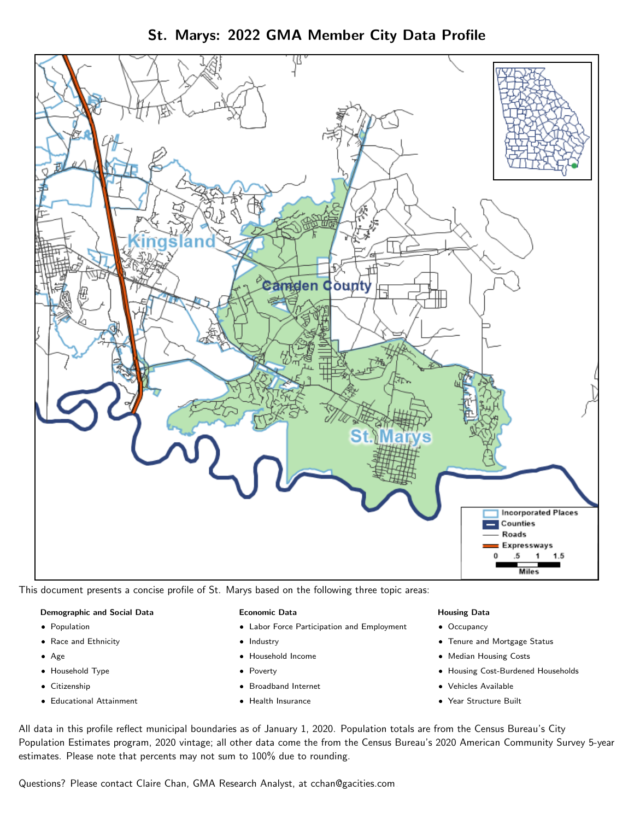



This document presents a concise profile of St. Marys based on the following three topic areas:

#### Demographic and Social Data

- **•** Population
- Race and Ethnicity
- Age
- Household Type
- **Citizenship**
- Educational Attainment

#### Economic Data

- Labor Force Participation and Employment
- Industry
- Household Income
- Poverty
- Broadband Internet
- Health Insurance

#### Housing Data

- Occupancy
- Tenure and Mortgage Status
- Median Housing Costs
- Housing Cost-Burdened Households
- Vehicles Available
- Year Structure Built

All data in this profile reflect municipal boundaries as of January 1, 2020. Population totals are from the Census Bureau's City Population Estimates program, 2020 vintage; all other data come the from the Census Bureau's 2020 American Community Survey 5-year estimates. Please note that percents may not sum to 100% due to rounding.

Questions? Please contact Claire Chan, GMA Research Analyst, at [cchan@gacities.com.](mailto:cchan@gacities.com)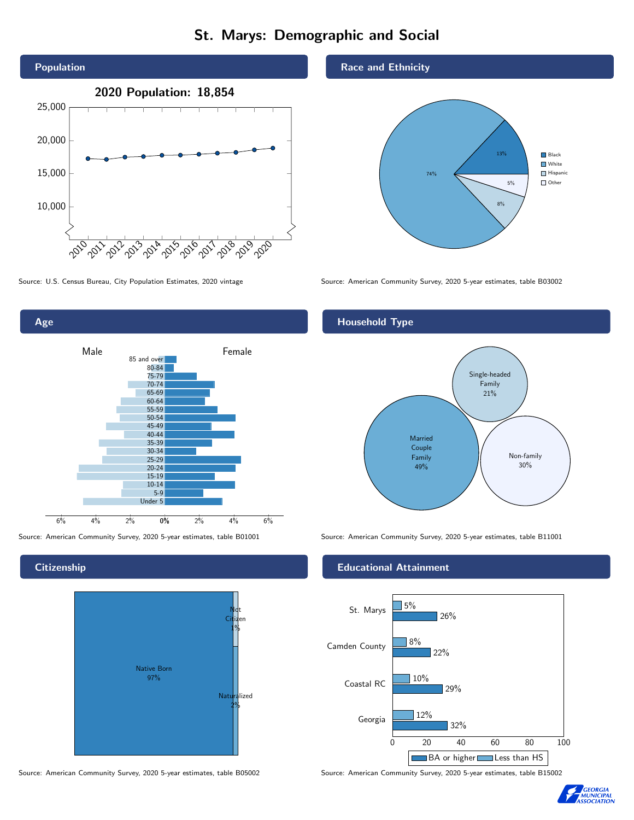# St. Marys: Demographic and Social





**Citizenship** 



Source: American Community Survey, 2020 5-year estimates, table B05002 Source: American Community Survey, 2020 5-year estimates, table B15002

#### Race and Ethnicity



Source: U.S. Census Bureau, City Population Estimates, 2020 vintage Source: American Community Survey, 2020 5-year estimates, table B03002

## Household Type



Source: American Community Survey, 2020 5-year estimates, table B01001 Source: American Community Survey, 2020 5-year estimates, table B11001

#### Educational Attainment



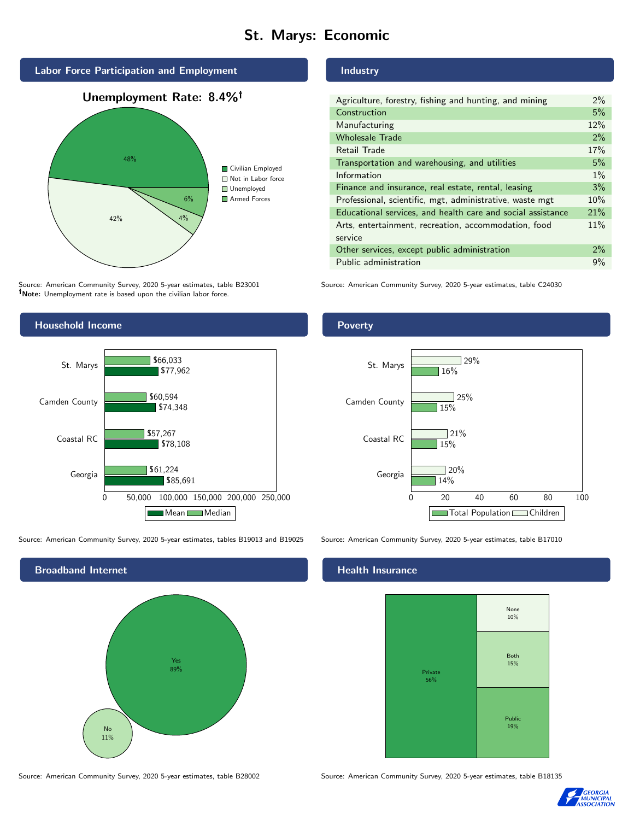# St. Marys: Economic



Source: American Community Survey, 2020 5-year estimates, table B23001 Note: Unemployment rate is based upon the civilian labor force.

# Household Income 0 50,000 100,000 150,000 200,000 250,000 Georgia Coastal RC Camden County St. Marys \$85,691 \$78,108 \$74,348 \$77,962 \$61,224 \$57,267 \$60,594 \$66,033 Mean Median

Source: American Community Survey, 2020 5-year estimates, tables B19013 and B19025 Source: American Community Survey, 2020 5-year estimates, table B17010



#### Industry

| Agriculture, forestry, fishing and hunting, and mining      | $2\%$ |
|-------------------------------------------------------------|-------|
| Construction                                                | 5%    |
| Manufacturing                                               | 12%   |
| <b>Wholesale Trade</b>                                      | 2%    |
| Retail Trade                                                | 17%   |
| Transportation and warehousing, and utilities               | 5%    |
| Information                                                 | $1\%$ |
| Finance and insurance, real estate, rental, leasing         | 3%    |
| Professional, scientific, mgt, administrative, waste mgt    | 10%   |
| Educational services, and health care and social assistance | 21%   |
| Arts, entertainment, recreation, accommodation, food        | 11%   |
| service                                                     |       |
| Other services, except public administration                | 2%    |
| Public administration                                       | 9%    |

Source: American Community Survey, 2020 5-year estimates, table C24030

#### Poverty



#### Health Insurance



Source: American Community Survey, 2020 5-year estimates, table B28002 Source: American Community Survey, 2020 5-year estimates, table B18135